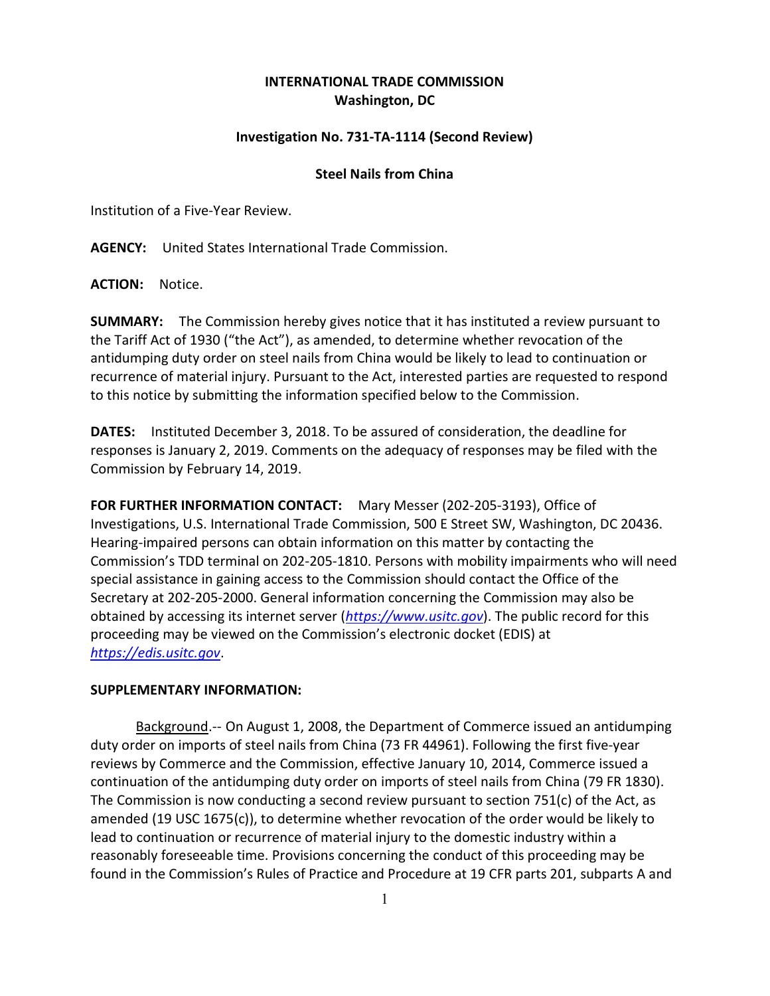## INTERNATIONAL TRADE COMMISSION Washington, DC

## Investigation No. 731-TA-1114 (Second Review)

## Steel Nails from China

Institution of a Five-Year Review.

AGENCY: United States International Trade Commission.

ACTION: Notice.

SUMMARY: The Commission hereby gives notice that it has instituted a review pursuant to the Tariff Act of 1930 ("the Act"), as amended, to determine whether revocation of the antidumping duty order on steel nails from China would be likely to lead to continuation or recurrence of material injury. Pursuant to the Act, interested parties are requested to respond to this notice by submitting the information specified below to the Commission.

DATES: Instituted December 3, 2018. To be assured of consideration, the deadline for responses is January 2, 2019. Comments on the adequacy of responses may be filed with the Commission by February 14, 2019.

FOR FURTHER INFORMATION CONTACT: Mary Messer (202-205-3193), Office of Investigations, U.S. International Trade Commission, 500 E Street SW, Washington, DC 20436. Hearing-impaired persons can obtain information on this matter by contacting the Commission's TDD terminal on 202-205-1810. Persons with mobility impairments who will need special assistance in gaining access to the Commission should contact the Office of the Secretary at 202-205-2000. General information concerning the Commission may also be obtained by accessing its internet server (https://www.usitc.gov). The public record for this proceeding may be viewed on the Commission's electronic docket (EDIS) at https://edis.usitc.gov.

## SUPPLEMENTARY INFORMATION:

Background.-- On August 1, 2008, the Department of Commerce issued an antidumping duty order on imports of steel nails from China (73 FR 44961). Following the first five-year reviews by Commerce and the Commission, effective January 10, 2014, Commerce issued a continuation of the antidumping duty order on imports of steel nails from China (79 FR 1830). The Commission is now conducting a second review pursuant to section  $751(c)$  of the Act, as amended (19 USC 1675(c)), to determine whether revocation of the order would be likely to lead to continuation or recurrence of material injury to the domestic industry within a reasonably foreseeable time. Provisions concerning the conduct of this proceeding may be found in the Commission's Rules of Practice and Procedure at 19 CFR parts 201, subparts A and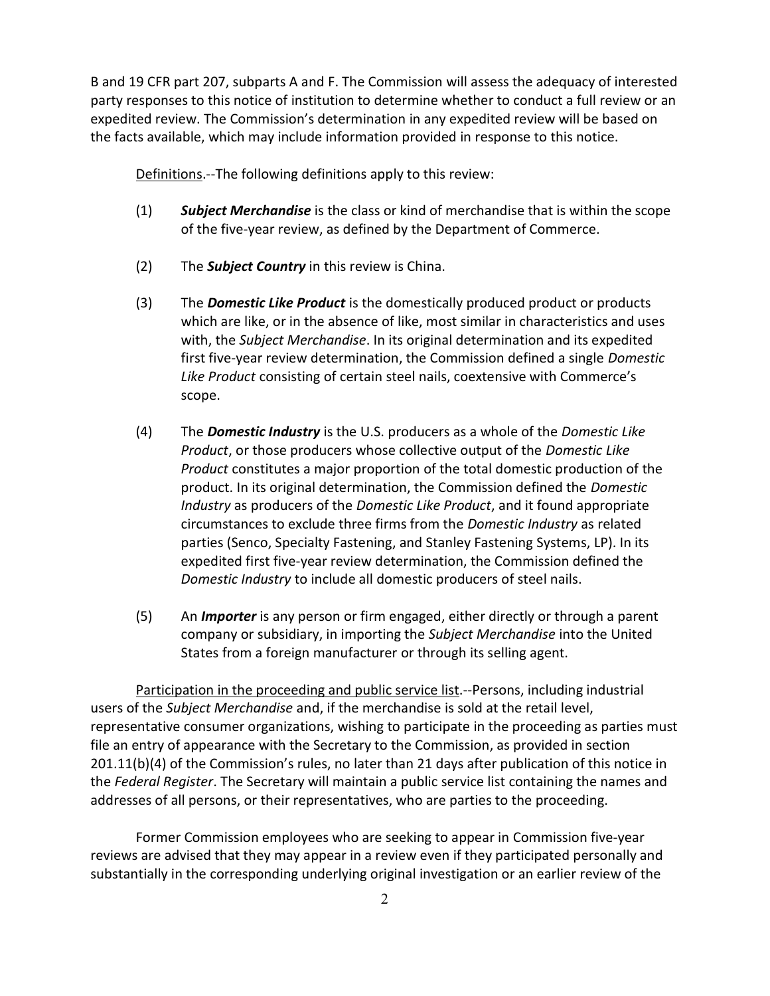B and 19 CFR part 207, subparts A and F. The Commission will assess the adequacy of interested party responses to this notice of institution to determine whether to conduct a full review or an expedited review. The Commission's determination in any expedited review will be based on the facts available, which may include information provided in response to this notice.

Definitions.--The following definitions apply to this review:

- $(1)$  Subject Merchandise is the class or kind of merchandise that is within the scope of the five-year review, as defined by the Department of Commerce.
- (2) The **Subject Country** in this review is China.
- (3) The **Domestic Like Product** is the domestically produced product or products which are like, or in the absence of like, most similar in characteristics and uses with, the Subject Merchandise. In its original determination and its expedited first five-year review determination, the Commission defined a single Domestic Like Product consisting of certain steel nails, coextensive with Commerce's scope.
- (4) The **Domestic Industry** is the U.S. producers as a whole of the *Domestic Like* Product, or those producers whose collective output of the Domestic Like Product constitutes a major proportion of the total domestic production of the product. In its original determination, the Commission defined the Domestic Industry as producers of the Domestic Like Product, and it found appropriate circumstances to exclude three firms from the Domestic Industry as related parties (Senco, Specialty Fastening, and Stanley Fastening Systems, LP). In its expedited first five-year review determination, the Commission defined the Domestic Industry to include all domestic producers of steel nails.
- (5) An Importer is any person or firm engaged, either directly or through a parent company or subsidiary, in importing the Subject Merchandise into the United States from a foreign manufacturer or through its selling agent.

Participation in the proceeding and public service list.--Persons, including industrial users of the Subject Merchandise and, if the merchandise is sold at the retail level, representative consumer organizations, wishing to participate in the proceeding as parties must file an entry of appearance with the Secretary to the Commission, as provided in section 201.11(b)(4) of the Commission's rules, no later than 21 days after publication of this notice in the Federal Register. The Secretary will maintain a public service list containing the names and addresses of all persons, or their representatives, who are parties to the proceeding.

Former Commission employees who are seeking to appear in Commission five-year reviews are advised that they may appear in a review even if they participated personally and substantially in the corresponding underlying original investigation or an earlier review of the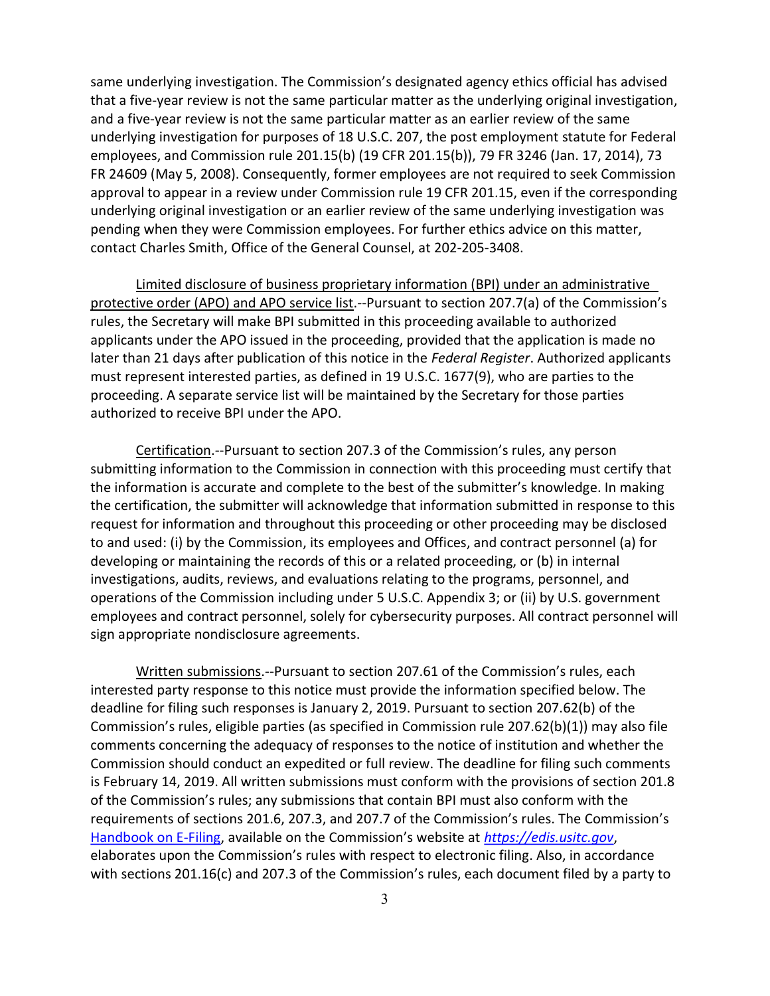same underlying investigation. The Commission's designated agency ethics official has advised that a five-year review is not the same particular matter as the underlying original investigation, and a five-year review is not the same particular matter as an earlier review of the same underlying investigation for purposes of 18 U.S.C. 207, the post employment statute for Federal employees, and Commission rule 201.15(b) (19 CFR 201.15(b)), 79 FR 3246 (Jan. 17, 2014), 73 FR 24609 (May 5, 2008). Consequently, former employees are not required to seek Commission approval to appear in a review under Commission rule 19 CFR 201.15, even if the corresponding underlying original investigation or an earlier review of the same underlying investigation was pending when they were Commission employees. For further ethics advice on this matter, contact Charles Smith, Office of the General Counsel, at 202-205-3408.

Limited disclosure of business proprietary information (BPI) under an administrative protective order (APO) and APO service list.--Pursuant to section 207.7(a) of the Commission's rules, the Secretary will make BPI submitted in this proceeding available to authorized applicants under the APO issued in the proceeding, provided that the application is made no later than 21 days after publication of this notice in the Federal Register. Authorized applicants must represent interested parties, as defined in 19 U.S.C. 1677(9), who are parties to the proceeding. A separate service list will be maintained by the Secretary for those parties authorized to receive BPI under the APO.

Certification.--Pursuant to section 207.3 of the Commission's rules, any person submitting information to the Commission in connection with this proceeding must certify that the information is accurate and complete to the best of the submitter's knowledge. In making the certification, the submitter will acknowledge that information submitted in response to this request for information and throughout this proceeding or other proceeding may be disclosed to and used: (i) by the Commission, its employees and Offices, and contract personnel (a) for developing or maintaining the records of this or a related proceeding, or (b) in internal investigations, audits, reviews, and evaluations relating to the programs, personnel, and operations of the Commission including under 5 U.S.C. Appendix 3; or (ii) by U.S. government employees and contract personnel, solely for cybersecurity purposes. All contract personnel will sign appropriate nondisclosure agreements.

Written submissions.--Pursuant to section 207.61 of the Commission's rules, each interested party response to this notice must provide the information specified below. The deadline for filing such responses is January 2, 2019. Pursuant to section 207.62(b) of the Commission's rules, eligible parties (as specified in Commission rule 207.62(b)(1)) may also file comments concerning the adequacy of responses to the notice of institution and whether the Commission should conduct an expedited or full review. The deadline for filing such comments is February 14, 2019. All written submissions must conform with the provisions of section 201.8 of the Commission's rules; any submissions that contain BPI must also conform with the requirements of sections 201.6, 207.3, and 207.7 of the Commission's rules. The Commission's Handbook on E-Filing, available on the Commission's website at https://edis.usitc.gov, elaborates upon the Commission's rules with respect to electronic filing. Also, in accordance with sections 201.16(c) and 207.3 of the Commission's rules, each document filed by a party to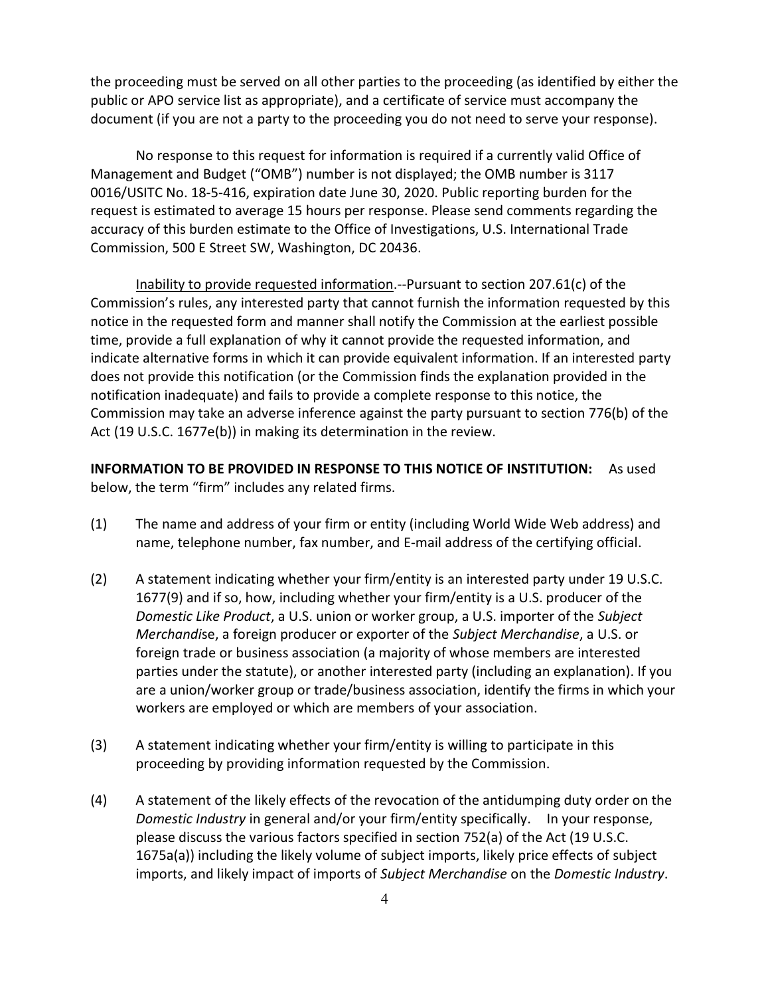the proceeding must be served on all other parties to the proceeding (as identified by either the public or APO service list as appropriate), and a certificate of service must accompany the document (if you are not a party to the proceeding you do not need to serve your response).

No response to this request for information is required if a currently valid Office of Management and Budget ("OMB") number is not displayed; the OMB number is 3117 0016/USITC No. 18-5-416, expiration date June 30, 2020. Public reporting burden for the request is estimated to average 15 hours per response. Please send comments regarding the accuracy of this burden estimate to the Office of Investigations, U.S. International Trade Commission, 500 E Street SW, Washington, DC 20436.

Inability to provide requested information.--Pursuant to section 207.61(c) of the Commission's rules, any interested party that cannot furnish the information requested by this notice in the requested form and manner shall notify the Commission at the earliest possible time, provide a full explanation of why it cannot provide the requested information, and indicate alternative forms in which it can provide equivalent information. If an interested party does not provide this notification (or the Commission finds the explanation provided in the notification inadequate) and fails to provide a complete response to this notice, the Commission may take an adverse inference against the party pursuant to section 776(b) of the Act (19 U.S.C. 1677e(b)) in making its determination in the review.

INFORMATION TO BE PROVIDED IN RESPONSE TO THIS NOTICE OF INSTITUTION: As used below, the term "firm" includes any related firms.

- (1) The name and address of your firm or entity (including World Wide Web address) and name, telephone number, fax number, and E-mail address of the certifying official.
- (2) A statement indicating whether your firm/entity is an interested party under 19 U.S.C. 1677(9) and if so, how, including whether your firm/entity is a U.S. producer of the Domestic Like Product, a U.S. union or worker group, a U.S. importer of the Subject Merchandise, a foreign producer or exporter of the Subject Merchandise, a U.S. or foreign trade or business association (a majority of whose members are interested parties under the statute), or another interested party (including an explanation). If you are a union/worker group or trade/business association, identify the firms in which your workers are employed or which are members of your association.
- (3) A statement indicating whether your firm/entity is willing to participate in this proceeding by providing information requested by the Commission.
- (4) A statement of the likely effects of the revocation of the antidumping duty order on the Domestic Industry in general and/or your firm/entity specifically. In your response, please discuss the various factors specified in section 752(a) of the Act (19 U.S.C. 1675a(a)) including the likely volume of subject imports, likely price effects of subject imports, and likely impact of imports of Subject Merchandise on the Domestic Industry.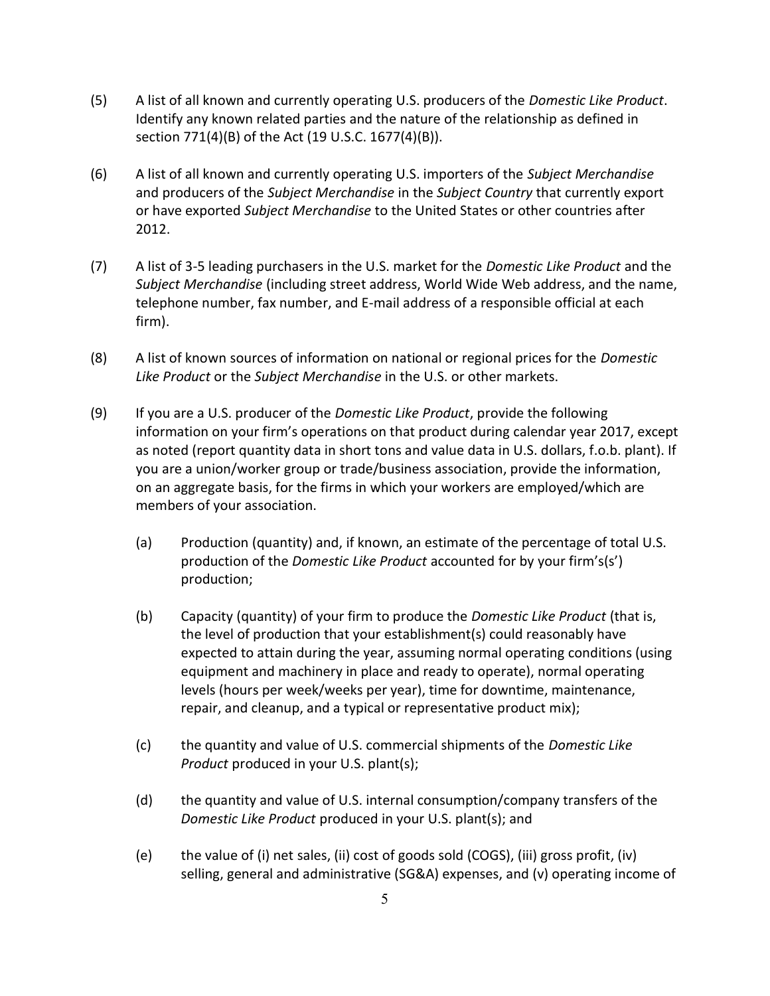- (5) A list of all known and currently operating U.S. producers of the *Domestic Like Product*. Identify any known related parties and the nature of the relationship as defined in section 771(4)(B) of the Act (19 U.S.C. 1677(4)(B)).
- (6) A list of all known and currently operating U.S. importers of the Subject Merchandise and producers of the Subject Merchandise in the Subject Country that currently export or have exported Subject Merchandise to the United States or other countries after 2012.
- (7) A list of 3-5 leading purchasers in the U.S. market for the Domestic Like Product and the Subject Merchandise (including street address, World Wide Web address, and the name, telephone number, fax number, and E-mail address of a responsible official at each firm).
- (8) A list of known sources of information on national or regional prices for the Domestic Like Product or the Subject Merchandise in the U.S. or other markets.
- (9) If you are a U.S. producer of the Domestic Like Product, provide the following information on your firm's operations on that product during calendar year 2017, except as noted (report quantity data in short tons and value data in U.S. dollars, f.o.b. plant). If you are a union/worker group or trade/business association, provide the information, on an aggregate basis, for the firms in which your workers are employed/which are members of your association.
	- (a) Production (quantity) and, if known, an estimate of the percentage of total U.S. production of the Domestic Like Product accounted for by your firm's(s') production;
	- (b) Capacity (quantity) of your firm to produce the Domestic Like Product (that is, the level of production that your establishment(s) could reasonably have expected to attain during the year, assuming normal operating conditions (using equipment and machinery in place and ready to operate), normal operating levels (hours per week/weeks per year), time for downtime, maintenance, repair, and cleanup, and a typical or representative product mix);
	- (c) the quantity and value of U.S. commercial shipments of the Domestic Like Product produced in your U.S. plant(s);
	- (d) the quantity and value of U.S. internal consumption/company transfers of the Domestic Like Product produced in your U.S. plant(s); and
	- (e) the value of (i) net sales, (ii) cost of goods sold (COGS), (iii) gross profit, (iv) selling, general and administrative (SG&A) expenses, and (v) operating income of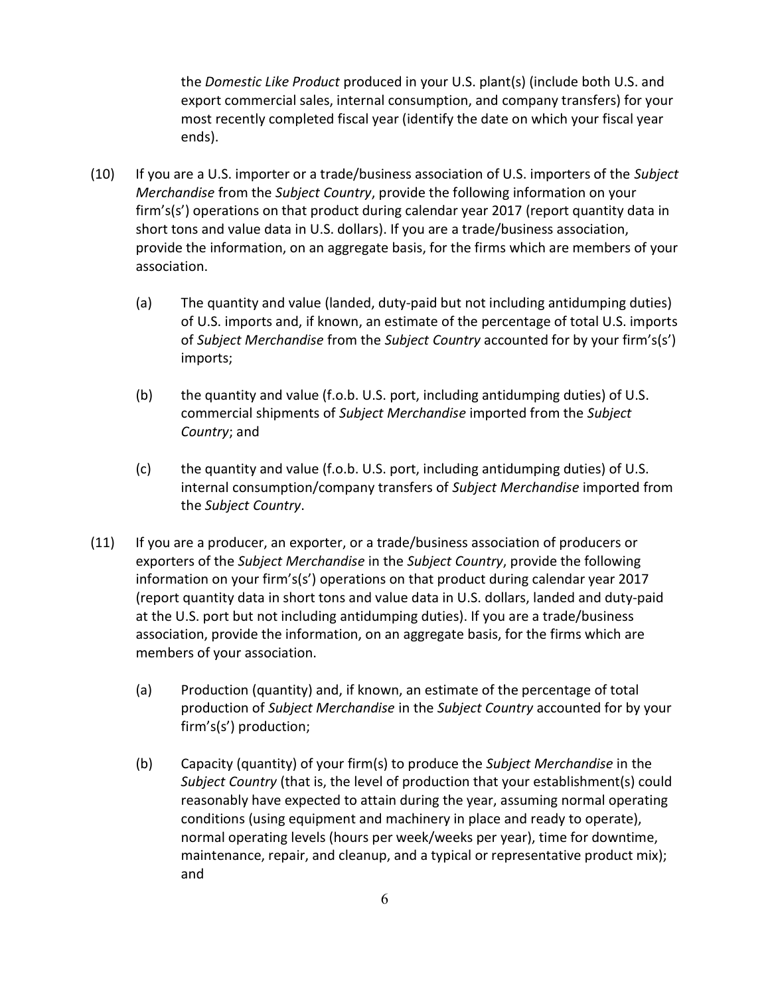the Domestic Like Product produced in your U.S. plant(s) (include both U.S. and export commercial sales, internal consumption, and company transfers) for your most recently completed fiscal year (identify the date on which your fiscal year ends).

- (10) If you are a U.S. importer or a trade/business association of U.S. importers of the Subject Merchandise from the Subject Country, provide the following information on your firm's(s') operations on that product during calendar year 2017 (report quantity data in short tons and value data in U.S. dollars). If you are a trade/business association, provide the information, on an aggregate basis, for the firms which are members of your association.
	- (a) The quantity and value (landed, duty-paid but not including antidumping duties) of U.S. imports and, if known, an estimate of the percentage of total U.S. imports of Subject Merchandise from the Subject Country accounted for by your firm's(s') imports;
	- (b) the quantity and value (f.o.b. U.S. port, including antidumping duties) of U.S. commercial shipments of Subject Merchandise imported from the Subject Country; and
	- (c) the quantity and value (f.o.b. U.S. port, including antidumping duties) of U.S. internal consumption/company transfers of Subject Merchandise imported from the Subject Country.
- (11) If you are a producer, an exporter, or a trade/business association of producers or exporters of the Subject Merchandise in the Subject Country, provide the following information on your firm's(s') operations on that product during calendar year 2017 (report quantity data in short tons and value data in U.S. dollars, landed and duty-paid at the U.S. port but not including antidumping duties). If you are a trade/business association, provide the information, on an aggregate basis, for the firms which are members of your association.
	- (a) Production (quantity) and, if known, an estimate of the percentage of total production of Subject Merchandise in the Subject Country accounted for by your firm's(s') production;
	- (b) Capacity (quantity) of your firm(s) to produce the Subject Merchandise in the Subject Country (that is, the level of production that your establishment(s) could reasonably have expected to attain during the year, assuming normal operating conditions (using equipment and machinery in place and ready to operate), normal operating levels (hours per week/weeks per year), time for downtime, maintenance, repair, and cleanup, and a typical or representative product mix); and